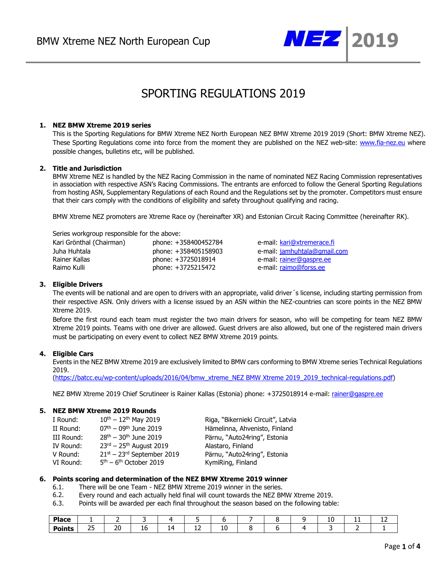

# SPORTING REGULATIONS 2019

## **1. NEZ BMW Xtreme 2019 series**

This is the Sporting Regulations for BMW Xtreme NEZ North European NEZ BMW Xtreme 2019 2019 (Short: BMW Xtreme NEZ). These Sporting Regulations come into force from the moment they are published on the NEZ web-site: [www.fia-nez.eu](http://www.fia-nez.eu/) where possible changes, bulletins etc, will be published.

## **2. Title and Jurisdiction**

BMW Xtreme NEZ is handled by the NEZ Racing Commission in the name of nominated NEZ Racing Commission representatives in association with respective ASN's Racing Commissions. The entrants are enforced to follow the General Sporting Regulations from hosting ASN, Supplementary Regulations of each Round and the Regulations set by the promoter. Competitors must ensure that their cars comply with the conditions of eligibility and safety throughout qualifying and racing.

BMW Xtreme NEZ promoters are Xtreme Race oy (hereinafter XR) and Estonian Circuit Racing Committee (hereinafter RK).

Series workgroup responsible for the above:

| Kari Grönthal (Chairman) | phone: +358400452784 |
|--------------------------|----------------------|
| Juha Huhtala             | phone: +358405158903 |
| Rainer Kallas            | phone: +3725018914   |
| Raimo Kulli              | phone: +3725215472   |

e-mail: [kari@xtremerace.fi](mailto:kari@xtremerace.fi) e-mail: *jamhuhtala*@gmail.com e-mail: [rainer@gaspre.ee](mailto:rainer@gaspre.ee) e-mail: [raimo@forss.ee](mailto:raimo@forss.ee)

## **3. Eligible Drivers**

The events will be national and are open to drivers with an appropriate, valid driver´s license, including starting permission from their respective ASN. Only drivers with a license issued by an ASN within the NEZ-countries can score points in the NEZ BMW Xtreme 2019.

Before the first round each team must register the two main drivers for season, who will be competing for team NEZ BMW Xtreme 2019 points. Teams with one driver are allowed. Guest drivers are also allowed, but one of the registered main drivers must be participating on every event to collect NEZ BMW Xtreme 2019 points.

## **4. Eligible Cars**

Events in the NEZ BMW Xtreme 2019 are exclusively limited to BMW cars conforming to BMW Xtreme series Technical Regulations 2019.

[\(https://batcc.eu/wp-content/uploads/2016/04/bmw\\_xtreme\\_NEZ BMW Xtreme 2019\\_2019\\_technical-regulations.pdf\)](https://batcc.eu/wp-content/uploads/2016/04/bmw_xtreme_trophy_2019_technical-regulations.pdf)

NEZ BMW Xtreme 2019 Chief Scrutineer is Rainer Kallas (Estonia) phone: +3725018914 e-mail[: rainer@gaspre.ee](mailto:rainer@gaspre.ee)

## **5. NEZ BMW Xtreme 2019 Rounds**

| $10^{th} - 12^{th}$ May 2019             | Riga, "Bikernieki Circuit", Latvia |
|------------------------------------------|------------------------------------|
| $07th - 09th$ June 2019                  | Hämelinna, Ahvenisto, Finland      |
| $28th - 30th$ June 2019                  | Pärnu, "Auto24ring", Estonia       |
| $23^{rd}$ – 25 <sup>th</sup> August 2019 | Alastaro, Finland                  |
| $21st - 23rd$ September 2019             | Pärnu, "Auto24ring", Estonia       |
| $5th - 6th$ October 2019                 | KymiRing, Finland                  |
|                                          |                                    |

## **6. Points scoring and determination of the NEZ BMW Xtreme 2019 winner**

- 6.1. There will be one Team NEZ BMW Xtreme 2019 winner in the series.
- 6.2. Every round and each actually held final will count towards the NEZ BMW Xtreme 2019.
- 6.3. Points will be awarded per each final throughout the season based on the following table:

| <b>Place</b>  |              |          |           |    |          |  | <b>LV</b> | . . | -- |
|---------------|--------------|----------|-----------|----|----------|--|-----------|-----|----|
| <b>Points</b> | --<br>$\sim$ | חר<br>ZU | TP.<br>__ | -- | 10<br>__ |  |           |     |    |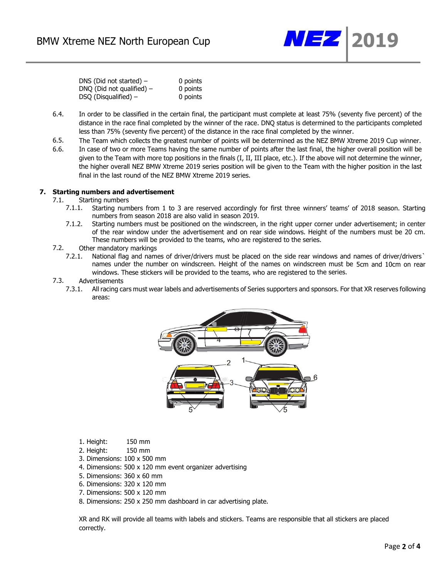

| DNS (Did not started) $-$   | 0 points |
|-----------------------------|----------|
| DNQ (Did not qualified) $-$ | 0 points |
| $DSQ$ (Disqualified) –      | 0 points |

- 6.4. In order to be classified in the certain final, the participant must complete at least 75% (seventy five percent) of the distance in the race final completed by the winner of the race. DNQ status is determined to the participants completed less than 75% (seventy five percent) of the distance in the race final completed by the winner.
- 6.5. The Team which collects the greatest number of points will be determined as the NEZ BMW Xtreme 2019 Cup winner.
- 6.6. In case of two or more Teams having the same number of points after the last final, the higher overall position will be given to the Team with more top positions in the finals (I, II, III place, etc.). If the above will not determine the winner, the higher overall NEZ BMW Xtreme 2019 series position will be given to the Team with the higher position in the last final in the last round of the NEZ BMW Xtreme 2019 series.

#### **7. Starting numbers and advertisement**

- 7.1. Starting numbers
	- 7.1.1. Starting numbers from 1 to 3 are reserved accordingly for first three winners' teams' of 2018 season. Starting numbers from season 2018 are also valid in season 2019.
	- 7.1.2. Starting numbers must be positioned on the windscreen, in the right upper corner under advertisement; in center of the rear window under the advertisement and on rear side windows. Height of the numbers must be 20 cm. These numbers will be provided to the teams, who are registered to the series.
- 7.2. Other mandatory markings
	- 7.2.1. National flag and names of driver/drivers must be placed on the side rear windows and names of driver/drivers` names under the number on windscreen. Height of the names on windscreen must be 5cm and 10cm on rear windows. These stickers will be provided to the teams, who are registered to the series.

# 7.3. Advertisements<br>7.3.1. All racing ca

All racing cars must wear labels and advertisements of Series supporters and sponsors. For that XR reserves following areas:



- 1. Height: 150 mm
- 2. Height: 150 mm
- 3. Dimensions: 100 x 500 mm
- 4. Dimensions: 500 x 120 mm event organizer advertising
- 5. Dimensions: 360 x 60 mm
- 6. Dimensions: 320 x 120 mm
- 7. Dimensions: 500 x 120 mm
- 8. Dimensions: 250 x 250 mm dashboard in car advertising plate.

XR and RK will provide all teams with labels and stickers. Teams are responsible that all stickers are placed correctly.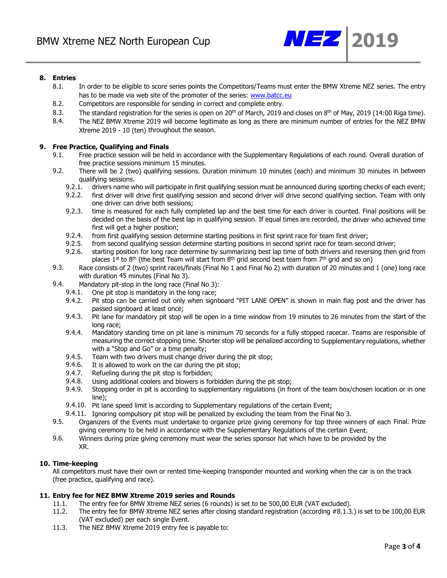

## **8. Entries**

- 8.1. In order to be eligible to score series points the Competitors/Teams must enter the BMW Xtreme NEZ series. The entry has to be made via web site of the promoter of the series: [www.batcc.eu](http://www.batcc.eu/)
- 8.2. Competitors are responsible for sending in correct and complete entry.
- 8.3. The standard registration for the series is open on 20<sup>th</sup> of March, 2019 and closes on 8<sup>th</sup> of May, 2019 (14:00 Riga time).
- 8.4. The NEZ BMW Xtreme 2019 will become legitimate as long as there are minimum number of entries for the NEZ BMW Xtreme 2019 - 10 (ten) throughout the season.

## **9. Free Practice, Qualifying and Finals**

- 9.1. Free practice session will be held in accordance with the Supplementary Regulations of each round. Overall duration of free practice sessions minimum 15 minutes.
- 9.2. There will be 2 (two) qualifying sessions. Duration minimum 10 minutes (each) and minimum 30 minutes in between qualifying sessions.
	- 9.2.1. drivers name who will participate in first qualifying session must be announced during sporting checks of each event;
	- 9.2.2. first driver will drive first qualifying session and second driver will drive second qualifying section. Team with only one driver can drive both sessions;
	- 9.2.3. time is measured for each fully completed lap and the best time for each driver is counted. Final positions will be decided on the basis of the best lap in qualifying session. If equal times are recorded, the driver who achieved time first will get a higher position;
	- 9.2.4. from first qualifying session determine starting positions in first sprint race for team first driver;
	- 9.2.5. from second qualifying session determine starting positions in second sprint race for team second driver;
	- 9.2.6. starting position for long race determine by summarizing best lap time of both drivers and reversing then grid from places 1<sup>st</sup> to 8<sup>th</sup> (the best Team will start from 8<sup>th</sup> grid second best team from 7<sup>th</sup> grid and so on)
- 9.3. Race consists of 2 (two) sprint races/finals (Final No 1 and Final No 2) with duration of 20 minutes and 1 (one) long race with duration 45 minutes (Final No 3).
- 9.4. Mandatory pit-stop in the long race (Final No 3):
	- 9.4.1. One pit stop is mandatory in the long race;
	- 9.4.2. Pit stop can be carried out only when signboard "PIT LANE OPEN" is shown in main flag post and the driver has passed signboard at least once;
	- 9.4.3. Pit lane for mandatory pit stop will be open in a time window from 19 minutes to 26 minutes from the start of the long race;
	- 9.4.4. Mandatory standing time on pit lane is minimum 70 seconds for a fully stopped racecar. Teams are responsible of measuring the correct stopping time. Shorter stop will be penalized according to Supplementary regulations, whether with a "Stop and Go" or a time penalty;
	- 9.4.5. Team with two drivers must change driver during the pit stop;
	- 9.4.6. It is allowed to work on the car during the pit stop;
	- 9.4.7. Refueling during the pit stop is forbidden;
	- 9.4.8. Using additional coolers and blowers is forbidden during the pit stop;
	- 9.4.9. Stopping order in pit is according to supplementary regulations (in front of the team box/chosen location or in one line);
	- 9.4.10. Pit lane speed limit is according to Supplementary regulations of the certain Event;
	- 9.4.11. Ignoring compulsory pit stop will be penalized by excluding the team from the Final No 3.
- 9.5. Organizers of the Events must undertake to organize prize giving ceremony for top three winners of each Final. Prize giving ceremony to be held in accordance with the Supplementary Regulations of the certain Event.
- 9.6. Winners during prize giving ceremony must wear the series sponsor hat which have to be provided by the XR.

## **10. Time-keeping**

All competitors must have their own or rented time-keeping transponder mounted and working when the car is on the track (free practice, qualifying and race).

## **11. Entry fee for NEZ BMW Xtreme 2019 series and Rounds**

- 11.1. The entry fee for BMW Xtreme NEZ series (6 rounds) is set to be 500,00 EUR (VAT excluded).
- 11.2. The entry fee for BMW Xtreme NEZ series after closing standard registration (according #8.1.3.) is set to be 100,00 EUR (VAT excluded) per each single Event.
- 11.3. The NEZ BMW Xtreme 2019 entry fee is payable to: